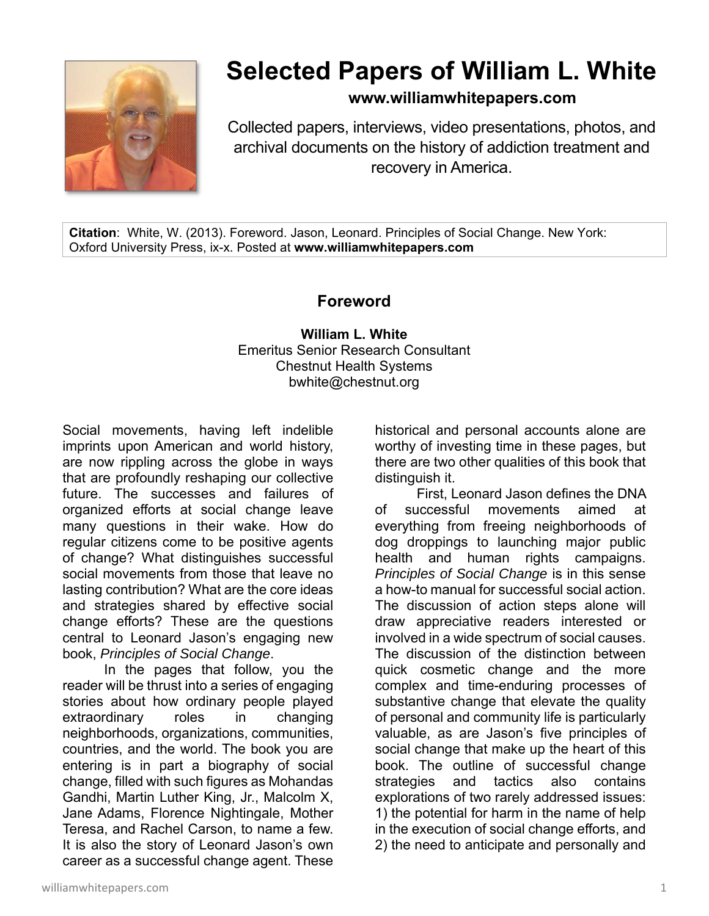

## **Selected Papers of William L. White**

**www.williamwhitepapers.com**

Collected papers, interviews, video presentations, photos, and archival documents on the history of addiction treatment and recovery in America.

**Citation**: White, W. (2013). Foreword. Jason, Leonard. Principles of Social Change. New York: Oxford University Press, ix-x. Posted at **www.williamwhitepapers.com** 

## **Foreword**

**William L. White**  Emeritus Senior Research Consultant Chestnut Health Systems bwhite@chestnut.org

Social movements, having left indelible imprints upon American and world history, are now rippling across the globe in ways that are profoundly reshaping our collective future. The successes and failures of organized efforts at social change leave many questions in their wake. How do regular citizens come to be positive agents of change? What distinguishes successful social movements from those that leave no lasting contribution? What are the core ideas and strategies shared by effective social change efforts? These are the questions central to Leonard Jason's engaging new book, *Principles of Social Change*.

In the pages that follow, you the reader will be thrust into a series of engaging stories about how ordinary people played extraordinary roles in changing neighborhoods, organizations, communities, countries, and the world. The book you are entering is in part a biography of social change, filled with such figures as Mohandas Gandhi, Martin Luther King, Jr., Malcolm X, Jane Adams, Florence Nightingale, Mother Teresa, and Rachel Carson, to name a few. It is also the story of Leonard Jason's own career as a successful change agent. These

historical and personal accounts alone are worthy of investing time in these pages, but there are two other qualities of this book that distinguish it.

First, Leonard Jason defines the DNA of successful movements aimed at everything from freeing neighborhoods of dog droppings to launching major public health and human rights campaigns. *Principles of Social Change* is in this sense a how-to manual for successful social action. The discussion of action steps alone will draw appreciative readers interested or involved in a wide spectrum of social causes. The discussion of the distinction between quick cosmetic change and the more complex and time-enduring processes of substantive change that elevate the quality of personal and community life is particularly valuable, as are Jason's five principles of social change that make up the heart of this book. The outline of successful change strategies and tactics also contains explorations of two rarely addressed issues: 1) the potential for harm in the name of help in the execution of social change efforts, and 2) the need to anticipate and personally and